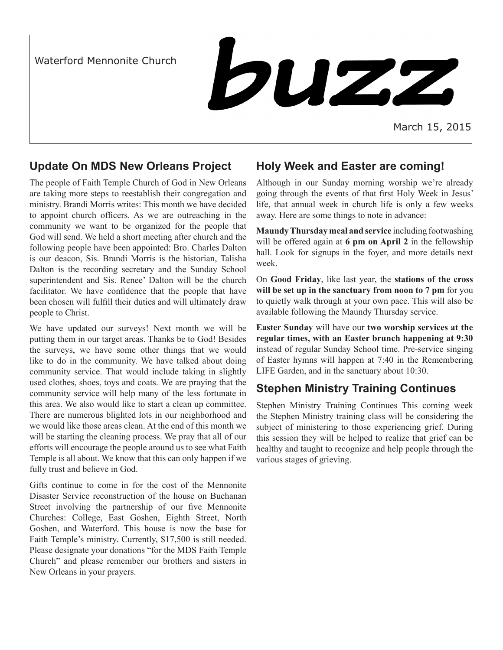Waterford Mennonite Church



March 15, 2015

# **Update On MDS New Orleans Project**

The people of Faith Temple Church of God in New Orleans are taking more steps to reestablish their congregation and ministry. Brandi Morris writes: This month we have decided to appoint church officers. As we are outreaching in the community we want to be organized for the people that God will send. We held a short meeting after church and the following people have been appointed: Bro. Charles Dalton is our deacon, Sis. Brandi Morris is the historian, Talisha Dalton is the recording secretary and the Sunday School superintendent and Sis. Renee' Dalton will be the church facilitator. We have confidence that the people that have been chosen will fulfill their duties and will ultimately draw people to Christ.

We have updated our surveys! Next month we will be putting them in our target areas. Thanks be to God! Besides the surveys, we have some other things that we would like to do in the community. We have talked about doing community service. That would include taking in slightly used clothes, shoes, toys and coats. We are praying that the community service will help many of the less fortunate in this area. We also would like to start a clean up committee. There are numerous blighted lots in our neighborhood and we would like those areas clean. At the end of this month we will be starting the cleaning process. We pray that all of our efforts will encourage the people around us to see what Faith Temple is all about. We know that this can only happen if we fully trust and believe in God.

Gifts continue to come in for the cost of the Mennonite Disaster Service reconstruction of the house on Buchanan Street involving the partnership of our five Mennonite Churches: College, East Goshen, Eighth Street, North Goshen, and Waterford. This house is now the base for Faith Temple's ministry. Currently, \$17,500 is still needed. Please designate your donations "for the MDS Faith Temple Church" and please remember our brothers and sisters in New Orleans in your prayers.

### **Holy Week and Easter are coming!**

Although in our Sunday morning worship we're already going through the events of that first Holy Week in Jesus' life, that annual week in church life is only a few weeks away. Here are some things to note in advance:

**Maundy Thursday meal and service** including footwashing will be offered again at **6 pm on April 2** in the fellowship hall. Look for signups in the foyer, and more details next week.

On **Good Friday**, like last year, the **stations of the cross will be set up in the sanctuary from noon to 7 pm** for you to quietly walk through at your own pace. This will also be available following the Maundy Thursday service.

**Easter Sunday** will have our **two worship services at the regular times, with an Easter brunch happening at 9:30**  instead of regular Sunday School time. Pre-service singing of Easter hymns will happen at 7:40 in the Remembering LIFE Garden, and in the sanctuary about 10:30.

# **Stephen Ministry Training Continues**

Stephen Ministry Training Continues This coming week the Stephen Ministry training class will be considering the subject of ministering to those experiencing grief. During this session they will be helped to realize that grief can be healthy and taught to recognize and help people through the various stages of grieving.